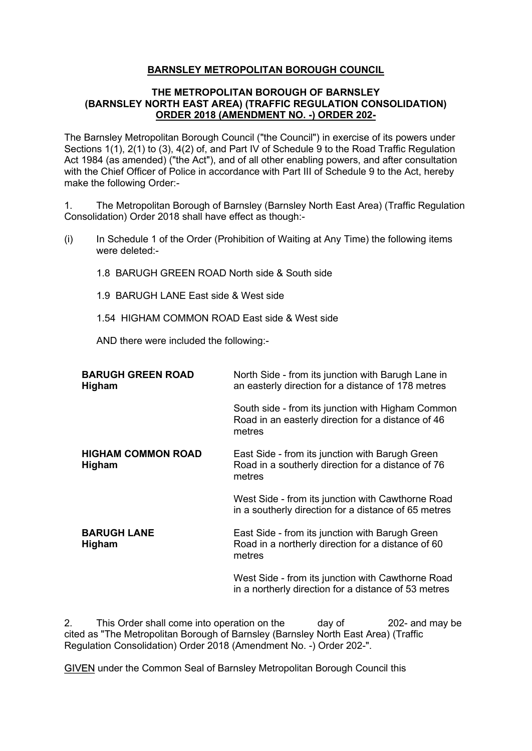## **BARNSLEY METROPOLITAN BOROUGH COUNCIL**

## **THE METROPOLITAN BOROUGH OF BARNSLEY (BARNSLEY NORTH EAST AREA) (TRAFFIC REGULATION CONSOLIDATION) ORDER 2018 (AMENDMENT NO. -) ORDER 202-**

The Barnsley Metropolitan Borough Council ("the Council") in exercise of its powers under Sections 1(1), 2(1) to (3), 4(2) of, and Part IV of Schedule 9 to the Road Traffic Regulation Act 1984 (as amended) ("the Act"), and of all other enabling powers, and after consultation with the Chief Officer of Police in accordance with Part III of Schedule 9 to the Act, hereby make the following Order:-

1. The Metropolitan Borough of Barnsley (Barnsley North East Area) (Traffic Regulation Consolidation) Order 2018 shall have effect as though:-

- (i) In Schedule 1 of the Order (Prohibition of Waiting at Any Time) the following items were deleted:-
	- 1.8 BARUGH GREEN ROAD North side & South side
	- 1.9 BARUGH LANE East side & West side
	- 1.54 HIGHAM COMMON ROAD East side & West side

AND there were included the following:-

| <b>BARUGH GREEN ROAD</b><br>Higham  | North Side - from its junction with Barugh Lane in<br>an easterly direction for a distance of 178 metres          |
|-------------------------------------|-------------------------------------------------------------------------------------------------------------------|
|                                     | South side - from its junction with Higham Common<br>Road in an easterly direction for a distance of 46<br>metres |
| <b>HIGHAM COMMON ROAD</b><br>Higham | East Side - from its junction with Barugh Green<br>Road in a southerly direction for a distance of 76<br>metres   |
|                                     | West Side - from its junction with Cawthorne Road<br>in a southerly direction for a distance of 65 metres         |
| <b>BARUGH LANE</b><br>Higham        | East Side - from its junction with Barugh Green<br>Road in a northerly direction for a distance of 60<br>metres   |
|                                     | West Side - from its junction with Cawthorne Road<br>in a northerly direction for a distance of 53 metres         |

2. This Order shall come into operation on the day of 202- and may be cited as "The Metropolitan Borough of Barnsley (Barnsley North East Area) (Traffic Regulation Consolidation) Order 2018 (Amendment No. -) Order 202-".

GIVEN under the Common Seal of Barnsley Metropolitan Borough Council this